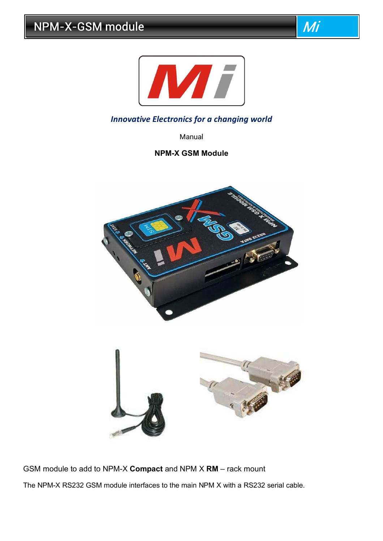



## *Innovative Electronics for a changing world*

Manual

## **NPM-X GSM Module**



GSM module to add to NPM-X **Compact** and NPM X **RM** – rack mount The NPM-X RS232 GSM module interfaces to the main NPM X with a RS232 serial cable.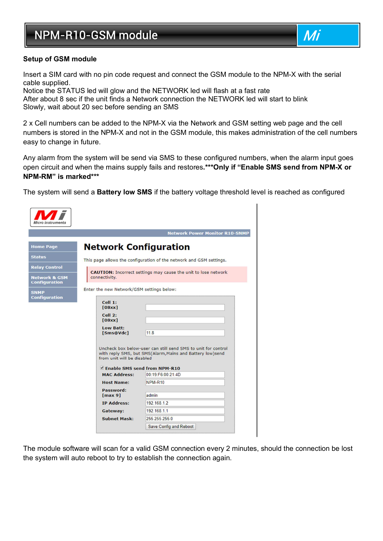# NPM-R10-GSM module and a state of the Mi



#### **Setup of GSM module**

Insert a SIM card with no pin code request and connect the GSM module to the NPM-X with the serial cable supplied.

Notice the STATUS led will glow and the NETWORK led will flash at a fast rate After about 8 sec if the unit finds a Network connection the NETWORK led will start to blink Slowly, wait about 20 sec before sending an SMS

2 x Cell numbers can be added to the NPM-X via the Network and GSM setting web page and the cell numbers is stored in the NPM-X and not in the GSM module, this makes administration of the cell numbers easy to change in future.

Any alarm from the system will be send via SMS to these configured numbers, when the alarm input goes open circuit and when the mains supply fails and restores**.\*\*\*Only if "Enable SMS send from NPM-X or NPM-RM" is marked\*\*\*** 

The system will send a **Battery low SMS** if the battery voltage threshold level is reached as configured

| <b>Micro Instruments</b>                         |                                                                                                                                                          |  |  |  |
|--------------------------------------------------|----------------------------------------------------------------------------------------------------------------------------------------------------------|--|--|--|
|                                                  | <b>Network Power Monitor R10-SNMP</b>                                                                                                                    |  |  |  |
| <b>Home Page</b>                                 | <b>Network Configuration</b>                                                                                                                             |  |  |  |
| <b>Status</b>                                    | This page allows the configuration of the network and GSM settings.                                                                                      |  |  |  |
| <b>Relay Control</b>                             | <b>CAUTION:</b> Incorrect settings may cause the unit to lose network                                                                                    |  |  |  |
| <b>Network &amp; GSM</b><br><b>Configuration</b> | connectivity.                                                                                                                                            |  |  |  |
| <b>SNMP</b><br><b>Configuration</b>              | Enter the new Network/GSM settings below:                                                                                                                |  |  |  |
|                                                  | Cell 1:<br>[08xx]                                                                                                                                        |  |  |  |
|                                                  | $Cell$ 2:<br>[08xx]                                                                                                                                      |  |  |  |
|                                                  | <b>Low Batt:</b><br>11.8<br>[Sms@Vdc]                                                                                                                    |  |  |  |
|                                                  | Uncheck box below-user can still send SMS to unit for control<br>with reply SMS, but SMS(Alarm, Mains and Battery low)send<br>from unit will be disabled |  |  |  |
|                                                  | Enable SMS send from NPM-R10                                                                                                                             |  |  |  |
|                                                  | 00:19:F6:00:21:4D<br><b>MAC Address:</b>                                                                                                                 |  |  |  |
|                                                  | $NPM-R10$<br><b>Host Name:</b>                                                                                                                           |  |  |  |
|                                                  | Password:<br>admin<br>[max 9]                                                                                                                            |  |  |  |
|                                                  | 192.168.1.2<br><b>IP Address:</b>                                                                                                                        |  |  |  |
|                                                  | 192 168 1.1<br>Gateway:                                                                                                                                  |  |  |  |
| <b>Subnet Mask:</b><br>255.255.255.0             |                                                                                                                                                          |  |  |  |
|                                                  | <b>Save Config and Reboot</b>                                                                                                                            |  |  |  |

The module software will scan for a valid GSM connection every 2 minutes, should the connection be lost the system will auto reboot to try to establish the connection again.